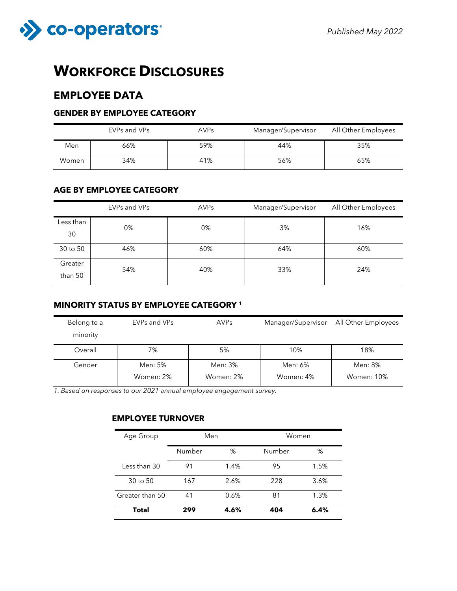

# **WORKFORCE DISCLOSURES**

## **EMPLOYEE DATA**

### **GENDER BY EMPLOYEE CATEGORY**

|       | EVPs and VPs | <b>AVPs</b> | Manager/Supervisor | All Other Employees |  |
|-------|--------------|-------------|--------------------|---------------------|--|
| Men   | 66%          | 59%         | 44%                | 35%                 |  |
| Women | 34%          | 41%         | 56%                | 65%                 |  |

### **AGE BY EMPLOYEE CATEGORY**

|                    | EVPs and VPs<br><b>AVPs</b> |     | Manager/Supervisor | All Other Employees |  |
|--------------------|-----------------------------|-----|--------------------|---------------------|--|
| Less than<br>30    | 0%                          | 0%  | 3%                 | 16%                 |  |
| 30 to 50           | 46%                         | 60% | 64%                | 60%                 |  |
| Greater<br>than 50 | 54%                         | 40% | 33%                | 24%                 |  |

### **MINORITY STATUS BY EMPLOYEE CATEGORY <sup>1</sup>**

| Belong to a<br>minority | EVPs and VPs | <b>AVPs</b> | Manager/Supervisor | All Other Employees |
|-------------------------|--------------|-------------|--------------------|---------------------|
| Overall                 | 7%           | 5%          | 10%                | 18%                 |
| Gender                  | Men: 5%      | Men: 3%     | Men: 6%            | Men: 8%             |
|                         | Women: 2%    | Women: 2%   | Women: 4%          | <b>Women: 10%</b>   |

*1. Based on responses to our 2021 annual employee engagement survey.*

### **EMPLOYEE TURNOVER**

| Age Group       | Men    |      | Women  |      |  |
|-----------------|--------|------|--------|------|--|
|                 | Number | %    | Number | %    |  |
| Less than 30    | 91     | 1.4% | 95     | 1.5% |  |
| 30 to 50        | 167    | 2.6% | 228    | 3.6% |  |
| Greater than 50 | 41     | 0.6% | 81     | 1.3% |  |
| <b>Total</b>    | 299    | 4.6% | 404    | 6.4% |  |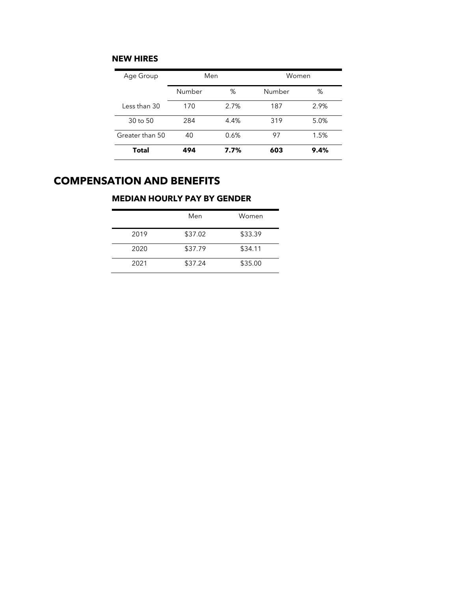### **NEW HIRES**

| Age Group       | Men         |      | Women  |      |  |
|-----------------|-------------|------|--------|------|--|
|                 | Number<br>% |      | Number | %    |  |
| Less than 30    | 170         | 2.7% | 187    | 2.9% |  |
| 30 to 50        | 284         | 4.4% | 319    | 5.0% |  |
| Greater than 50 | 40          | 0.6% | 97     | 1.5% |  |
| Total           | 494         | 7.7% | 603    | 9.4% |  |

# **COMPENSATION AND BENEFITS**

### **MEDIAN HOURLY PAY BY GENDER**

|      | Men     | Women   |
|------|---------|---------|
| 2019 | \$37.02 | \$33.39 |
| 2020 | \$37.79 | \$34.11 |
| 2021 | \$37.24 | \$35.00 |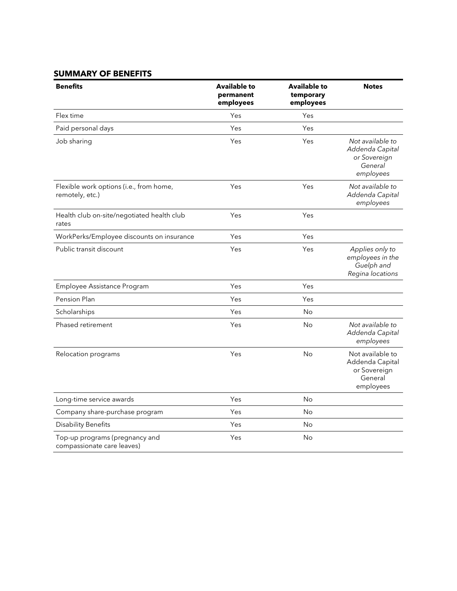### **SUMMARY OF BENEFITS**

| <b>Benefits</b>                                              | <b>Available to</b><br>permanent<br>employees | <b>Available to</b><br>temporary<br>employees | <b>Notes</b>                                                                |
|--------------------------------------------------------------|-----------------------------------------------|-----------------------------------------------|-----------------------------------------------------------------------------|
| Flex time                                                    | Yes                                           | Yes                                           |                                                                             |
| Paid personal days                                           | Yes                                           | Yes                                           |                                                                             |
| Job sharing                                                  | Yes                                           | Yes                                           | Not available to<br>Addenda Capital<br>or Sovereign<br>General<br>employees |
| Flexible work options (i.e., from home,<br>remotely, etc.)   | Yes                                           | Yes                                           | Not available to<br>Addenda Capital<br>employees                            |
| Health club on-site/negotiated health club<br>rates          | Yes                                           | Yes                                           |                                                                             |
| WorkPerks/Employee discounts on insurance                    | Yes                                           | Yes                                           |                                                                             |
| Public transit discount                                      | Yes                                           | Yes                                           | Applies only to<br>employees in the<br>Guelph and<br>Regina locations       |
| Employee Assistance Program                                  | Yes                                           | Yes                                           |                                                                             |
| Pension Plan                                                 | Yes                                           | Yes                                           |                                                                             |
| Scholarships                                                 | Yes                                           | <b>No</b>                                     |                                                                             |
| Phased retirement                                            | Yes                                           | No                                            | Not available to<br>Addenda Capital<br>employees                            |
| Relocation programs                                          | Yes                                           | <b>No</b>                                     | Not available to<br>Addenda Capital<br>or Sovereign<br>General<br>employees |
| Long-time service awards                                     | Yes                                           | <b>No</b>                                     |                                                                             |
| Company share-purchase program                               | Yes                                           | No                                            |                                                                             |
| <b>Disability Benefits</b>                                   | Yes                                           | No                                            |                                                                             |
| Top-up programs (pregnancy and<br>compassionate care leaves) | Yes                                           | No                                            |                                                                             |